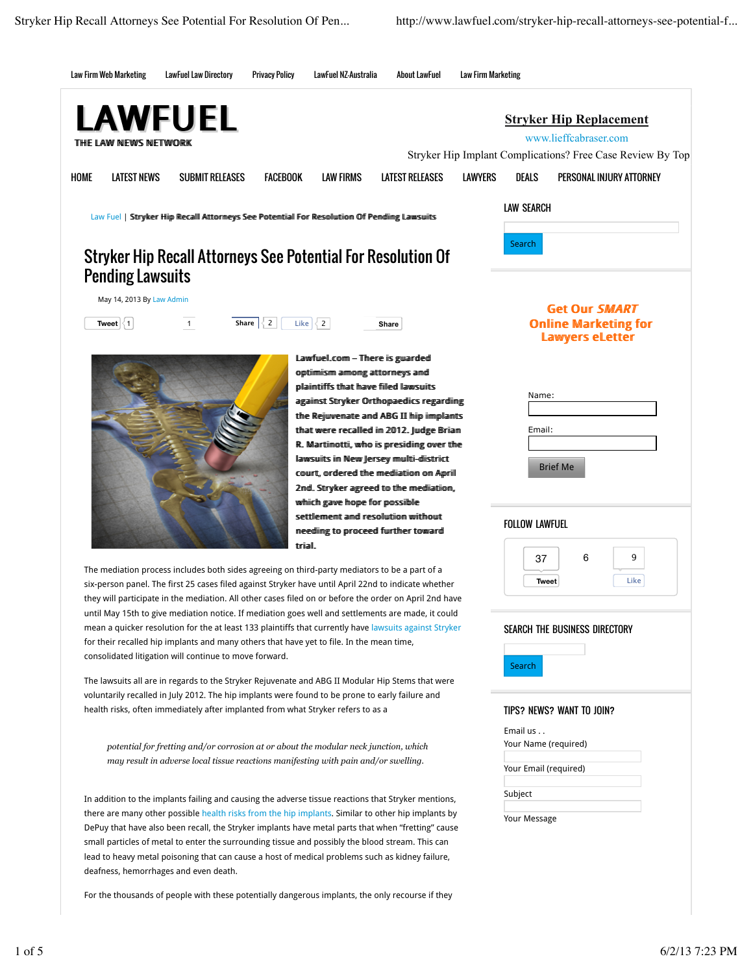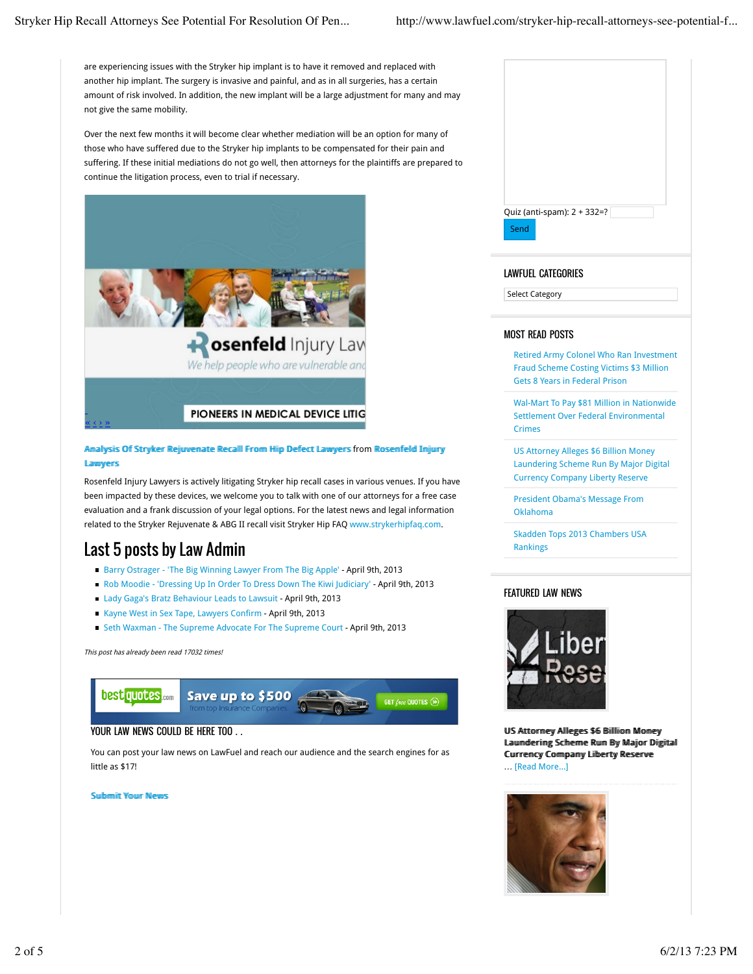are experiencing issues with the Stryker hip implant is to have it removed and replaced with another hip implant. The surgery is invasive and painful, and as in all surgeries, has a certain amount of risk involved. In addition, the new implant will be a large adjustment for many and may not give the same mobility.

Over the next few months it will become clear whether mediation will be an option for many of those who have suffered due to the Stryker hip implants to be compensated for their pain and suffering. If these initial mediations do not go well, then attorneys for the plaintiffs are prepared to continue the litigation process, even to trial if necessary.



## Amallysiis Off Sttryker Rejjuuvematte Recalll From Hiip Defect Lawyers from Rosemfelld Imjjury **Lawwers**

Rosenfeld Injury Lawyers is actively litigating Stryker hip recall cases in various venues. If you have been impacted by these devices, we welcome you to talk with one of our attorneys for a free case evaluation and a frank discussion of your legal options. For the latest news and legal information related to the Stryker Rejuvenate & ABG II recall visit Stryker Hip FAQ www.strykerhipfaq.com.

# Last 5 posts by Law Admin

- Barry Ostrager 'The Big Winning Lawyer From The Big Apple' April 9th, 2013
- Rob Moodie 'Dressing Up In Order To Dress Down The Kiwi Judiciary' April 9th, 2013
- Lady Gaga's Bratz Behaviour Leads to Lawsuit April 9th, 2013
- Kayne West in Sex Tape, Lawyers Confirm April 9th, 2013
- Seth Waxman The Supreme Advocate For The Supreme Court April 9th, 2013

This post has already been read 17032 times!



# YOUR LAW NEWS COULD BE HERE TOO . .

You can post your law news on LawFuel and reach our audience and the search engines for as little as \$17!

miit Your News

| Quiz (anti-spam): 2 + 332=? |  |
|-----------------------------|--|
|                             |  |
| Send                        |  |
|                             |  |
|                             |  |
|                             |  |

# LAWFUEL CATEGORIES

Select Category

## MOST READ POSTS

Retired Army Colonel Who Ran Investment Fraud Scheme Costing Victims \$3 Million Gets 8 Years in Federal Prison

Wal-Mart To Pay \$81 Million in Nationwide Settlement Over Federal Environmental Crimes

US Attorney Alleges \$6 Billion Money Laundering Scheme Run By Major Digital Currency Company Liberty Reserve

President Obama's Message From Oklahoma

Skadden Tops 2013 Chambers USA Rankings

# FEATURED LAW NEWS



US Atttormey Allleges \$6 Biillliiom Momey Lauunderriing Scherme Ruun By Majjor Diigiitall Currremcy Commpanny Liiberty Reserve … [Read More...]

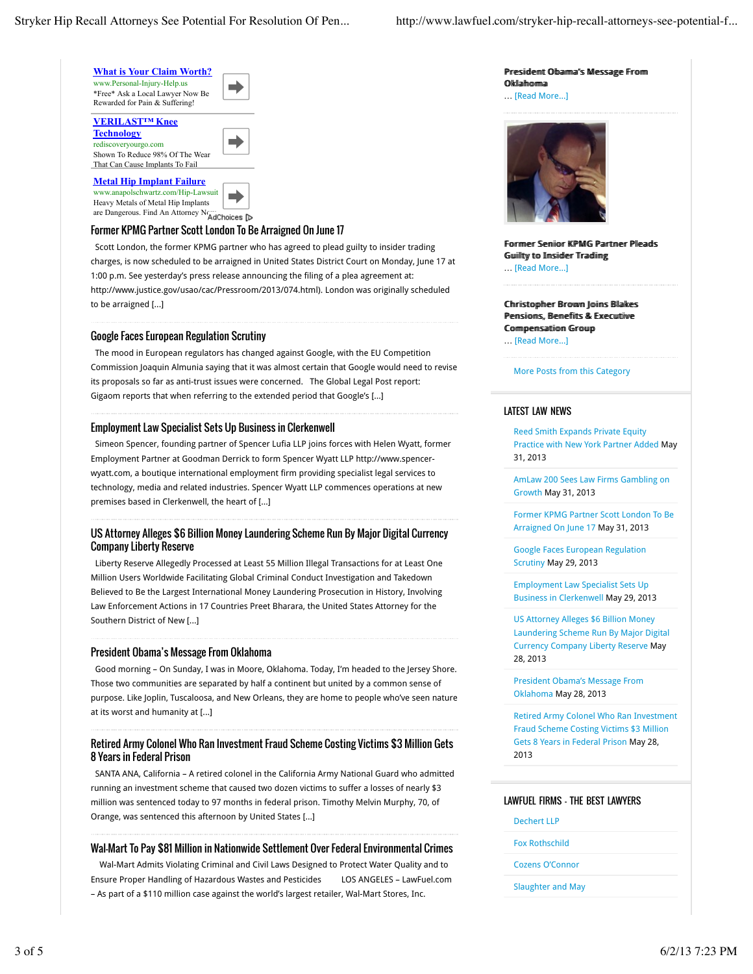

That Can Cause Implants To Fail **Metal Hip Implant Failure** www.anapolschwartz.com/Hip-Lawsuit

Heavy Metals of Metal Hip Implants are Dangerous. Find An Attorney Normal And Choices

#### Former KPMG Partner Scott London To Be Arraigned On June 17

 Scott London, the former KPMG partner who has agreed to plead guilty to insider trading charges, is now scheduled to be arraigned in United States District Court on Monday, June 17 at 1:00 p.m. See yesterday's press release announcing the filing of a plea agreement at: http://www.justice.gov/usao/cac/Pressroom/2013/074.html). London was originally scheduled to be arraigned [...]

#### Google Faces European Regulation Scrutiny

 The mood in European regulators has changed against Google, with the EU Competition Commission Joaquin Almunia saying that it was almost certain that Google would need to revise its proposals so far as anti-trust issues were concerned. The Global Legal Post report: Gigaom reports that when referring to the extended period that Google's [...]

#### Employment Law Specialist Sets Up Business in Clerkenwell

 Simeon Spencer, founding partner of Spencer Lufia LLP joins forces with Helen Wyatt, former Employment Partner at Goodman Derrick to form Spencer Wyatt LLP http://www.spencerwyatt.com, a boutique international employment firm providing specialist legal services to technology, media and related industries. Spencer Wyatt LLP commences operations at new premises based in Clerkenwell, the heart of [...]

#### US Attorney Alleges \$6 Billion Money Laundering Scheme Run By Major Digital Currency Company Liberty Reserve

 Liberty Reserve Allegedly Processed at Least 55 Million Illegal Transactions for at Least One Million Users Worldwide Facilitating Global Criminal Conduct Investigation and Takedown Believed to Be the Largest International Money Laundering Prosecution in History, Involving Law Enforcement Actions in 17 Countries Preet Bharara, the United States Attorney for the Southern District of New [...]

#### President Obama's Message From Oklahoma

 Good morning – On Sunday, I was in Moore, Oklahoma. Today, I'm headed to the Jersey Shore. Those two communities are separated by half a continent but united by a common sense of purpose. Like Joplin, Tuscaloosa, and New Orleans, they are home to people who've seen nature at its worst and humanity at [...]

## Retired Army Colonel Who Ran Investment Fraud Scheme Costing Victims \$3 Million Gets 8 Years in Federal Prison

 SANTA ANA, California – A retired colonel in the California Army National Guard who admitted running an investment scheme that caused two dozen victims to suffer a losses of nearly \$3 million was sentenced today to 97 months in federal prison. Timothy Melvin Murphy, 70, of Orange, was sentenced this afternoon by United States [...]

#### Wal-Mart To Pay \$81 Million in Nationwide Settlement Over Federal Environmental Crimes

 Wal-Mart Admits Violating Criminal and Civil Laws Designed to Protect Water Quality and to Ensure Proper Handling of Hazardous Wastes and Pesticides LOS ANGELES – LawFuel.com – As part of a \$110 million case against the world's largest retailer, Wal-Mart Stores, Inc.

Presiidemt Obaima''s Message From Oklahomma

### … [Read More...]



Forrmer Semiior KPMG Partmer Pleads Guuillty to Imsiider Tradiing … [Read More...]

Chhriisttophher Browwn Joiins Bllakes Pemsiions Remeffiits & Execultiive Commpemsattiiom Group

… [Read More...]

#### More Posts from this Category

#### LATEST LAW NEWS

Reed Smith Expands Private Equity Practice with New York Partner Added May 31, 2013

AmLaw 200 Sees Law Firms Gambling on Growth May 31, 2013

Former KPMG Partner Scott London To Be Arraigned On June 17 May 31, 2013

Google Faces European Regulation Scrutiny May 29, 2013

Employment Law Specialist Sets Up Business in Clerkenwell May 29, 2013

US Attorney Alleges \$6 Billion Money Laundering Scheme Run By Major Digital Currency Company Liberty Reserve May 28, 2013

President Obama's Message From Oklahoma May 28, 2013

Retired Army Colonel Who Ran Investment Fraud Scheme Costing Victims \$3 Million Gets 8 Years in Federal Prison May 28, 2013

#### LAWFUEL FIRMS – THE BEST LAWYERS

- Dechert LLP
- Fox Rothschild
- Cozens O'Connor
- Slaughter and May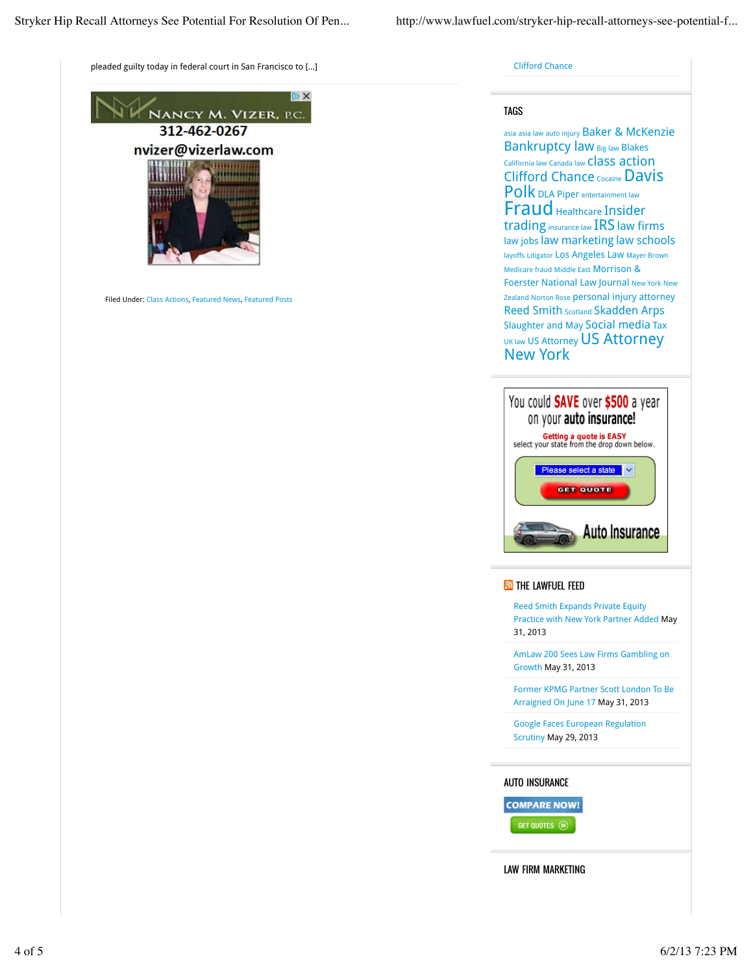pleaded guilty today in federal court in San Francisco to [...]



Filed Under: Class Actions, Featured News, Featured Posts

Clifford Chance

#### TAGS

asia asia law auto injury Baker & McKenzie Bankruptcy law Big law Blakes California law Canada law Class action Clifford Chance Cocaine Davis Polk DLA Piper entertainment law Fraud Healthcare Insider trading insurance law IRS law firms law jobs law marketing law schools layoffs Litigator Los Angeles Law Mayer Brown Medicare fraud Middle East Morrison & Foerster National Law Journal New York New Zealand Norton Rose personal injury attorney Reed Smith Scotland Skadden Arps Slaughter and May Social media Tax UK law US Attorney US Attorney New York



**N** THE LAWFUEL FEED

Reed Smith Expands Private Equity Practice with New York Partner Added May 31, 2013

AmLaw 200 Sees Law Firms Gambling on Growth May 31, 2013

Former KPMG Partner Scott London To Be Arraigned On June 17 May 31, 2013

Google Faces European Regulation Scrutiny May 29, 2013

#### AUTO INSURANCE

**COMPARE NOW!** 

GET QUOTES (>)

LAW FIRM MARKETING